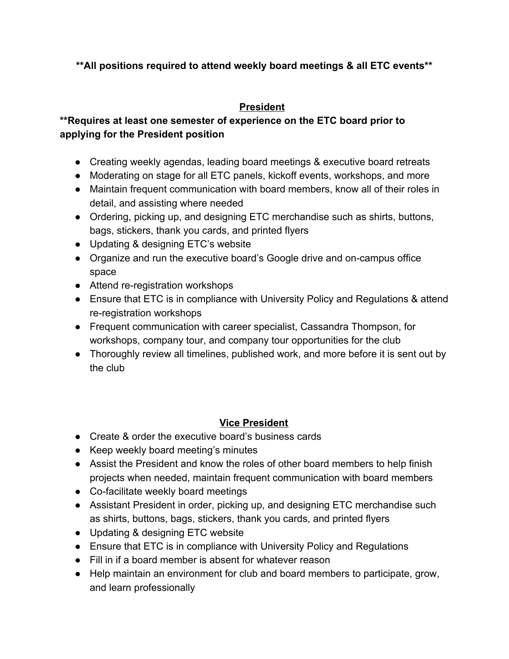# **\*\*All positions required to attend weekly board meetings & all ETC events\*\***

# **President**

# **\*\*Requires at least one semester of experience on the ETC board prior to applying for the President position**

- Creating weekly agendas, leading board meetings & executive board retreats
- Moderating on stage for all ETC panels, kickoff events, workshops, and more
- Maintain frequent communication with board members, know all of their roles in detail, and assisting where needed
- Ordering, picking up, and designing ETC merchandise such as shirts, buttons, bags, stickers, thank you cards, and printed flyers
- Updating & designing ETC's website
- Organize and run the executive board's Google drive and on-campus office space
- Attend re-registration workshops
- Ensure that ETC is in compliance with University Policy and Regulations & attend re-registration workshops
- Frequent communication with career specialist, Cassandra Thompson, for workshops, company tour, and company tour opportunities for the club
- Thoroughly review all timelines, published work, and more before it is sent out by the club

# **Vice President**

- Create & order the executive board's business cards
- Keep weekly board meeting's minutes
- Assist the President and know the roles of other board members to help finish projects when needed, maintain frequent communication with board members
- Co-facilitate weekly board meetings
- Assistant President in order, picking up, and designing ETC merchandise such as shirts, buttons, bags, stickers, thank you cards, and printed flyers
- Updating & designing ETC website
- Ensure that ETC is in compliance with University Policy and Regulations
- Fill in if a board member is absent for whatever reason
- Help maintain an environment for club and board members to participate, grow, and learn professionally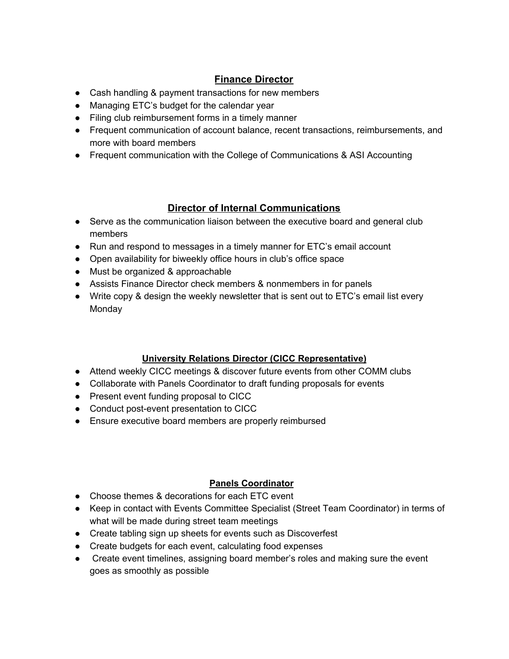## **Finance Director**

- Cash handling & payment transactions for new members
- Managing ETC's budget for the calendar year
- Filing club reimbursement forms in a timely manner
- Frequent communication of account balance, recent transactions, reimbursements, and more with board members
- Frequent communication with the College of Communications & ASI Accounting

### **Director of Internal Communications**

- Serve as the communication liaison between the executive board and general club members
- Run and respond to messages in a timely manner for ETC's email account
- Open availability for biweekly office hours in club's office space
- Must be organized & approachable
- Assists Finance Director check members & nonmembers in for panels
- Write copy & design the weekly newsletter that is sent out to ETC's email list every **Monday**

### **University Relations Director (CICC Representative)**

- Attend weekly CICC meetings & discover future events from other COMM clubs
- Collaborate with Panels Coordinator to draft funding proposals for events
- Present event funding proposal to CICC
- Conduct post-event presentation to CICC
- Ensure executive board members are properly reimbursed

#### **Panels Coordinator**

- Choose themes & decorations for each ETC event
- Keep in contact with Events Committee Specialist (Street Team Coordinator) in terms of what will be made during street team meetings
- Create tabling sign up sheets for events such as Discoverfest
- Create budgets for each event, calculating food expenses
- Create event timelines, assigning board member's roles and making sure the event goes as smoothly as possible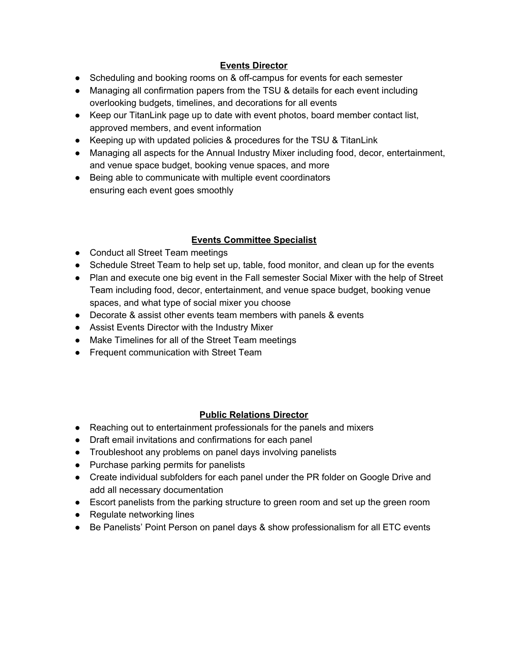#### **Events Director**

- Scheduling and booking rooms on & off-campus for events for each semester
- Managing all confirmation papers from the TSU & details for each event including overlooking budgets, timelines, and decorations for all events
- Keep our TitanLink page up to date with event photos, board member contact list, approved members, and event information
- Keeping up with updated policies & procedures for the TSU & TitanLink
- Managing all aspects for the Annual Industry Mixer including food, decor, entertainment, and venue space budget, booking venue spaces, and more
- Being able to communicate with multiple event coordinators ensuring each event goes smoothly

### **Events Committee Specialist**

- Conduct all Street Team meetings
- Schedule Street Team to help set up, table, food monitor, and clean up for the events
- Plan and execute one big event in the Fall semester Social Mixer with the help of Street Team including food, decor, entertainment, and venue space budget, booking venue spaces, and what type of social mixer you choose
- Decorate & assist other events team members with panels & events
- Assist Events Director with the Industry Mixer
- Make Timelines for all of the Street Team meetings
- Frequent communication with Street Team

#### **Public Relations Director**

- Reaching out to entertainment professionals for the panels and mixers
- Draft email invitations and confirmations for each panel
- Troubleshoot any problems on panel days involving panelists
- Purchase parking permits for panelists
- Create individual subfolders for each panel under the PR folder on Google Drive and add all necessary documentation
- Escort panelists from the parking structure to green room and set up the green room
- Regulate networking lines
- Be Panelists' Point Person on panel days & show professionalism for all ETC events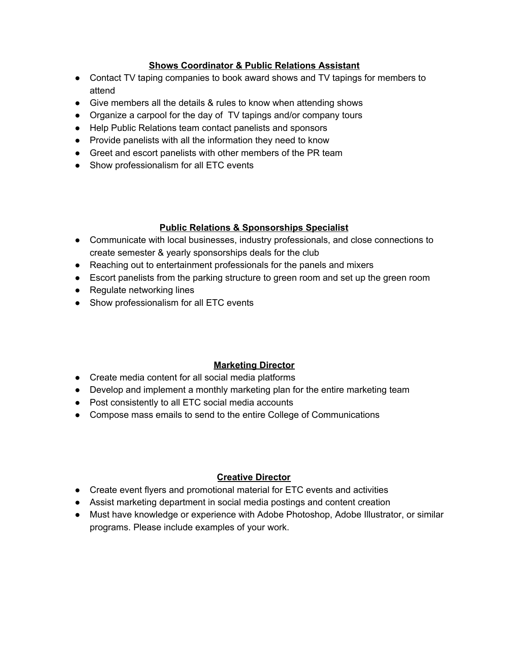#### **Shows Coordinator & Public Relations Assistant**

- Contact TV taping companies to book award shows and TV tapings for members to attend
- Give members all the details & rules to know when attending shows
- Organize a carpool for the day of TV tapings and/or company tours
- Help Public Relations team contact panelists and sponsors
- Provide panelists with all the information they need to know
- Greet and escort panelists with other members of the PR team
- Show professionalism for all ETC events

#### **Public Relations & Sponsorships Specialist**

- Communicate with local businesses, industry professionals, and close connections to create semester & yearly sponsorships deals for the club
- Reaching out to entertainment professionals for the panels and mixers
- Escort panelists from the parking structure to green room and set up the green room
- Regulate networking lines
- Show professionalism for all ETC events

#### **Marketing Director**

- Create media content for all social media platforms
- Develop and implement a monthly marketing plan for the entire marketing team
- Post consistently to all ETC social media accounts
- Compose mass emails to send to the entire College of Communications

#### **Creative Director**

- Create event flyers and promotional material for ETC events and activities
- Assist marketing department in social media postings and content creation
- Must have knowledge or experience with Adobe Photoshop, Adobe Illustrator, or similar programs. Please include examples of your work.